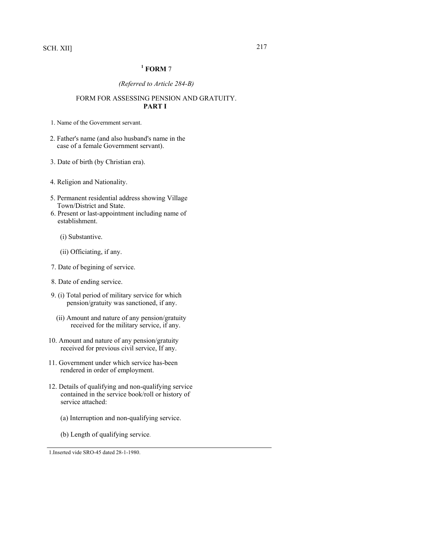SCH. XII] 217

# **1 FORM** 7

## *(Referred to Article 284-B)*

## FORM FOR ASSESSING PENSION AND GRATUITY. **PART I**

1. Name of the Government servant.

- 2. Father's name (and also husband's name in the case of a female Government servant).
- 3. Date of birth (by Christian era).
- 4. Religion and Nationality.
- 5. Permanent residential address showing Village Town/District and State.
- 6. Present or last-appointment including name of establishment.
	- (i) Substantive.
	- (ii) Officiating, if any.
- 7. Date of begining of service.
- 8. Date of ending service.
- 9. (i) Total period of military service for which pension/gratuity was sanctioned, if any.
	- (ii) Amount and nature of any pension/gratuity received for the military service, if any.
- 10. Amount and nature of any pension/gratuity received for previous civil service, If any.
- 11. Government under which service has-been rendered in order of employment.
- 12. Details of qualifying and non-qualifying service contained in the service book/roll or history of service attached:
	- (a) Interruption and non-qualifying service.
	- (b) Length of qualifying service.

1.Inserted vide SRO-45 dated 28-1-1980.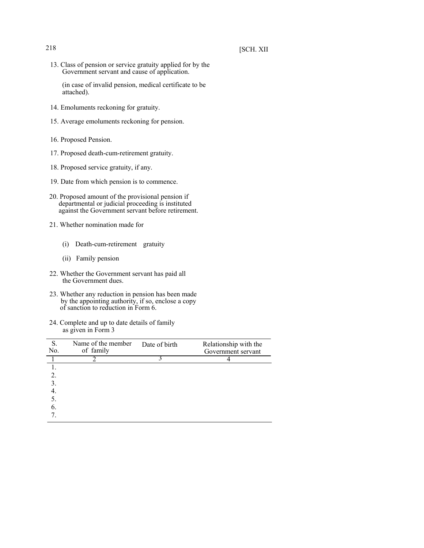13. Class of pension or service gratuity applied for by the Government servant and cause of application.

(in case of invalid pension, medical certificate to be attached).

- 14. Emoluments reckoning for gratuity.
- 15. Average emoluments reckoning for pension.
- 16. Proposed Pension.
- 17. Proposed death-cum-retirement gratuity.
- 18. Proposed service gratuity, if any.
- 19. Date from which pension is to commence.
- 20. Proposed amount of the provisional pension if departmental or judicial proceeding is instituted against the Government servant before retirement.
- 21. Whether nomination made for
	- (i) Death-cum-retirement gratuity
	- (ii) Family pension
- 22. Whether the Government servant has paid all the Government dues.
- 23. Whether any reduction in pension has been made by the appointing authority, if so, enclose a copy of sanction to reduction in Form 6.
- 24. Complete and up to date details of family as given in Form 3

| S.<br>No.      | Name of the member<br>of family | Date of birth | Relationship with the<br>Government servant |
|----------------|---------------------------------|---------------|---------------------------------------------|
|                |                                 |               |                                             |
|                |                                 |               |                                             |
| 2.             |                                 |               |                                             |
| $\mathfrak{Z}$ |                                 |               |                                             |
| 4              |                                 |               |                                             |
| 5.             |                                 |               |                                             |
| 6.             |                                 |               |                                             |
|                |                                 |               |                                             |
|                |                                 |               |                                             |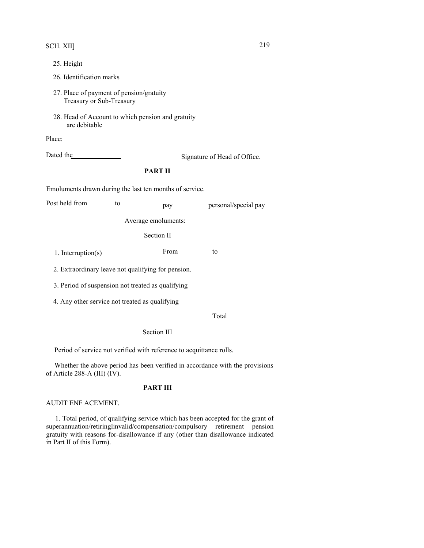# SCH. XII] 219

- 25. Height
- 26. Identification marks
- 27. Place of payment of pension/gratuity Treasury or Sub-Treasury
- 28. Head of Account to which pension and gratuity are debitable

Place:

"

Dated the Signature of Head of Office.

# **PART II**

Emoluments drawn during the last ten months of service.

| Post held from | to | pay                 | personal/special pay |
|----------------|----|---------------------|----------------------|
|                |    | Average emoluments: |                      |
|                |    | $\sim$ $\sim$       |                      |

Section II

1. Interruption(s) From to

2. Extraordinary leave not qualifying for pension.

3. Period of suspension not treated as qualifying

4. Any other service not treated as qualifying

Total

## Section III

Period of service not verified with reference to acquittance rolls.

Whether the above period has been verified in accordance with the provisions of Article 288-A (III) (IV).

## **PART III**

## AUDIT ENF ACEMENT.

1. Total period, of qualifying service which has been accepted for the grant of superannuation/retiringlinvalid/compensation/compulsory retirement pension gratuity with reasons for-disallowance if any (other than disallowance indicated in Part II of this Form).